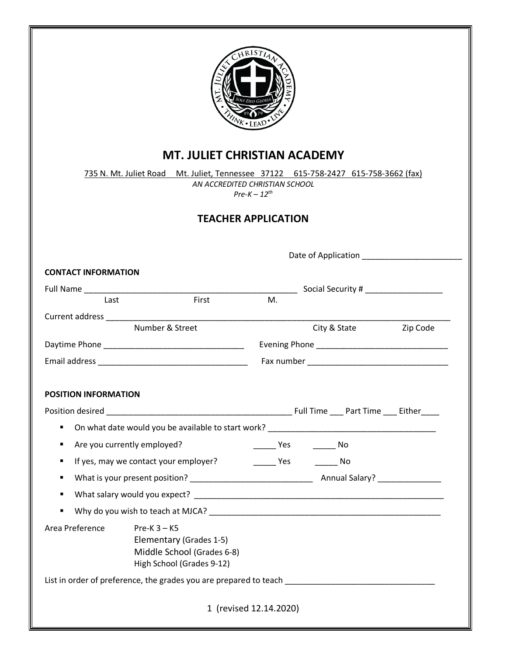| $RIST_{L1}$<br><b>MT. JULIET CHRISTIAN ACADEMY</b><br>735 N. Mt. Juliet Road Mt. Juliet, Tennessee 37122 615-758-2427 615-758-3662 (fax)<br>AN ACCREDITED CHRISTIAN SCHOOL |                                                                                                                |                            |                                                                                                                |          |  |  |
|----------------------------------------------------------------------------------------------------------------------------------------------------------------------------|----------------------------------------------------------------------------------------------------------------|----------------------------|----------------------------------------------------------------------------------------------------------------|----------|--|--|
|                                                                                                                                                                            |                                                                                                                | $Pre-K-12^{th}$            |                                                                                                                |          |  |  |
|                                                                                                                                                                            |                                                                                                                | <b>TEACHER APPLICATION</b> |                                                                                                                |          |  |  |
|                                                                                                                                                                            |                                                                                                                |                            | Date of Application <b>Exercise 2018</b>                                                                       |          |  |  |
| <b>CONTACT INFORMATION</b>                                                                                                                                                 |                                                                                                                |                            |                                                                                                                |          |  |  |
|                                                                                                                                                                            |                                                                                                                |                            | Social Security # _________________                                                                            |          |  |  |
| Last                                                                                                                                                                       | First                                                                                                          | M.                         |                                                                                                                |          |  |  |
|                                                                                                                                                                            |                                                                                                                |                            |                                                                                                                |          |  |  |
|                                                                                                                                                                            | Number & Street                                                                                                |                            | City & State                                                                                                   | Zip Code |  |  |
|                                                                                                                                                                            |                                                                                                                |                            |                                                                                                                |          |  |  |
|                                                                                                                                                                            | Email address and a state of the state of the state of the state of the state of the state of the state of the |                            |                                                                                                                |          |  |  |
| <b>POSITION INFORMATION</b>                                                                                                                                                |                                                                                                                |                            |                                                                                                                |          |  |  |
|                                                                                                                                                                            |                                                                                                                |                            |                                                                                                                |          |  |  |
| ٠                                                                                                                                                                          |                                                                                                                |                            |                                                                                                                |          |  |  |
| ٠                                                                                                                                                                          | Are you currently employed?                                                                                    |                            | No Prestigate Press, No Press, No. 1976. No Press, No. 18, 1976. No Press, No. 18, 1976. No Press, No. 18, 197 |          |  |  |
| п                                                                                                                                                                          | If yes, may we contact your employer? The Mesa President Contact Vest Mo                                       |                            |                                                                                                                |          |  |  |
| п                                                                                                                                                                          |                                                                                                                |                            |                                                                                                                |          |  |  |
| п                                                                                                                                                                          |                                                                                                                |                            |                                                                                                                |          |  |  |
| п                                                                                                                                                                          |                                                                                                                |                            |                                                                                                                |          |  |  |
| Area Preference                                                                                                                                                            | Pre-K $3 - K5$<br>Elementary (Grades 1-5)<br>Middle School (Grades 6-8)<br>High School (Grades 9-12)           |                            |                                                                                                                |          |  |  |
|                                                                                                                                                                            | List in order of preference, the grades you are prepared to teach __________________________________           |                            |                                                                                                                |          |  |  |
| 1 (revised 12.14.2020)                                                                                                                                                     |                                                                                                                |                            |                                                                                                                |          |  |  |

 $\mathbb{L}$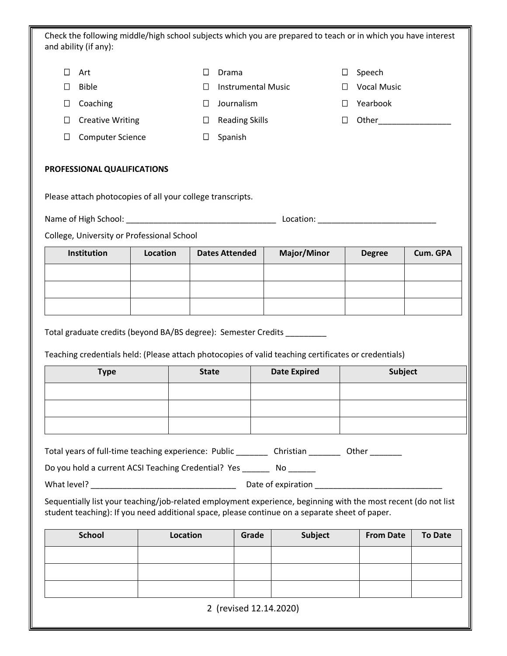| and ability (if any):                                                                                                                                                                                                                                                                                                                                                                                                                                                                                       |          |                       | Check the following middle/high school subjects which you are prepared to teach or in which you have interest |                     |                     |                |
|-------------------------------------------------------------------------------------------------------------------------------------------------------------------------------------------------------------------------------------------------------------------------------------------------------------------------------------------------------------------------------------------------------------------------------------------------------------------------------------------------------------|----------|-----------------------|---------------------------------------------------------------------------------------------------------------|---------------------|---------------------|----------------|
| $\Box$<br>Art                                                                                                                                                                                                                                                                                                                                                                                                                                                                                               |          | $\perp$               | Drama                                                                                                         | $\Box$              | Speech              |                |
| <b>Bible</b><br>$\Box$                                                                                                                                                                                                                                                                                                                                                                                                                                                                                      |          | П                     | <b>Instrumental Music</b>                                                                                     | $\Box$              | <b>Vocal Music</b>  |                |
| Coaching<br>⊔                                                                                                                                                                                                                                                                                                                                                                                                                                                                                               |          | Ш                     | Journalism                                                                                                    | $\Box$              | Yearbook            |                |
| <b>Creative Writing</b><br>$\Box$                                                                                                                                                                                                                                                                                                                                                                                                                                                                           |          | $\Box$                | <b>Reading Skills</b>                                                                                         |                     | $\Box$ Other $\Box$ |                |
| <b>Computer Science</b><br>$\Box$                                                                                                                                                                                                                                                                                                                                                                                                                                                                           |          | $\Box$                | Spanish                                                                                                       |                     |                     |                |
| PROFESSIONAL QUALIFICATIONS                                                                                                                                                                                                                                                                                                                                                                                                                                                                                 |          |                       |                                                                                                               |                     |                     |                |
| Please attach photocopies of all your college transcripts.                                                                                                                                                                                                                                                                                                                                                                                                                                                  |          |                       |                                                                                                               |                     |                     |                |
|                                                                                                                                                                                                                                                                                                                                                                                                                                                                                                             |          |                       |                                                                                                               |                     |                     |                |
| College, University or Professional School                                                                                                                                                                                                                                                                                                                                                                                                                                                                  |          |                       |                                                                                                               |                     |                     |                |
| Institution                                                                                                                                                                                                                                                                                                                                                                                                                                                                                                 | Location | <b>Dates Attended</b> |                                                                                                               | Major/Minor         | <b>Degree</b>       | Cum. GPA       |
|                                                                                                                                                                                                                                                                                                                                                                                                                                                                                                             |          |                       |                                                                                                               |                     |                     |                |
|                                                                                                                                                                                                                                                                                                                                                                                                                                                                                                             |          |                       |                                                                                                               |                     |                     |                |
| Total graduate credits (beyond BA/BS degree): Semester Credits _________                                                                                                                                                                                                                                                                                                                                                                                                                                    |          |                       |                                                                                                               |                     |                     |                |
|                                                                                                                                                                                                                                                                                                                                                                                                                                                                                                             |          |                       |                                                                                                               |                     |                     |                |
| <b>Type</b>                                                                                                                                                                                                                                                                                                                                                                                                                                                                                                 |          | <b>State</b>          |                                                                                                               | <b>Date Expired</b> | <b>Subject</b>      |                |
|                                                                                                                                                                                                                                                                                                                                                                                                                                                                                                             |          |                       |                                                                                                               |                     |                     |                |
|                                                                                                                                                                                                                                                                                                                                                                                                                                                                                                             |          |                       |                                                                                                               |                     |                     |                |
|                                                                                                                                                                                                                                                                                                                                                                                                                                                                                                             |          |                       |                                                                                                               |                     |                     |                |
|                                                                                                                                                                                                                                                                                                                                                                                                                                                                                                             |          |                       |                                                                                                               |                     |                     |                |
|                                                                                                                                                                                                                                                                                                                                                                                                                                                                                                             |          |                       |                                                                                                               |                     |                     |                |
| Teaching credentials held: (Please attach photocopies of valid teaching certificates or credentials)<br>Total years of full-time teaching experience: Public ___________ Christian ___________ Other ________<br>Do you hold a current ACSI Teaching Credential? Yes ________ No ______<br>Sequentially list your teaching/job-related employment experience, beginning with the most recent (do not list<br>student teaching): If you need additional space, please continue on a separate sheet of paper. |          |                       |                                                                                                               |                     |                     |                |
| <b>School</b>                                                                                                                                                                                                                                                                                                                                                                                                                                                                                               | Location |                       | Grade                                                                                                         | Subject             | <b>From Date</b>    | <b>To Date</b> |
|                                                                                                                                                                                                                                                                                                                                                                                                                                                                                                             |          |                       |                                                                                                               |                     |                     |                |
|                                                                                                                                                                                                                                                                                                                                                                                                                                                                                                             |          |                       |                                                                                                               |                     |                     |                |
|                                                                                                                                                                                                                                                                                                                                                                                                                                                                                                             |          |                       |                                                                                                               |                     |                     |                |
|                                                                                                                                                                                                                                                                                                                                                                                                                                                                                                             |          |                       | 2 (revised 12.14.2020)                                                                                        |                     |                     |                |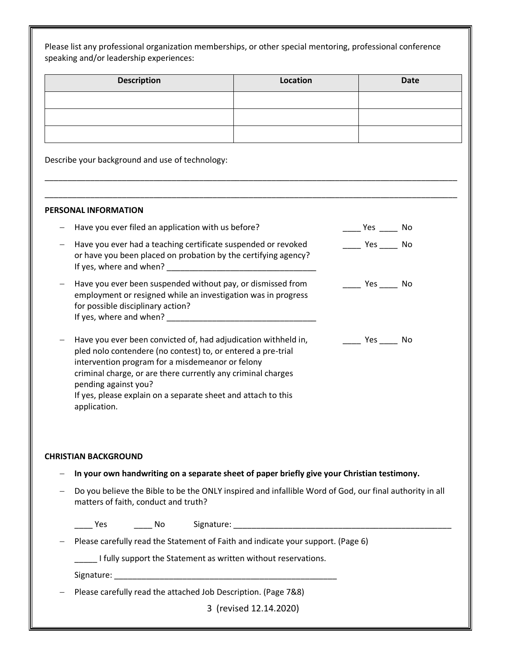|                                                 | <b>Description</b> |                                                                                                                                                                                                                                                   | Location                                                                         | <b>Date</b>                                                                                                                |
|-------------------------------------------------|--------------------|---------------------------------------------------------------------------------------------------------------------------------------------------------------------------------------------------------------------------------------------------|----------------------------------------------------------------------------------|----------------------------------------------------------------------------------------------------------------------------|
|                                                 |                    |                                                                                                                                                                                                                                                   |                                                                                  |                                                                                                                            |
|                                                 |                    |                                                                                                                                                                                                                                                   |                                                                                  |                                                                                                                            |
|                                                 |                    |                                                                                                                                                                                                                                                   |                                                                                  |                                                                                                                            |
| Describe your background and use of technology: |                    |                                                                                                                                                                                                                                                   |                                                                                  |                                                                                                                            |
| PERSONAL INFORMATION                            |                    |                                                                                                                                                                                                                                                   |                                                                                  |                                                                                                                            |
|                                                 |                    | Have you ever filed an application with us before?                                                                                                                                                                                                |                                                                                  | $Yes$ No                                                                                                                   |
|                                                 |                    | Have you ever had a teaching certificate suspended or revoked<br>or have you been placed on probation by the certifying agency?                                                                                                                   |                                                                                  | $Yes$ No                                                                                                                   |
| for possible disciplinary action?               |                    | Have you ever been suspended without pay, or dismissed from<br>employment or resigned while an investigation was in progress                                                                                                                      |                                                                                  | No Yes No                                                                                                                  |
| pending against you?<br>application.            |                    | pled nolo contendere (no contest) to, or entered a pre-trial<br>intervention program for a misdemeanor or felony<br>criminal charge, or are there currently any criminal charges<br>If yes, please explain on a separate sheet and attach to this | Have you ever been convicted of, had adjudication withheld in,                   | <b>Present Service Service Service Service Service Service Service Service Service Service Service Service Servi</b><br>No |
| <b>CHRISTIAN BACKGROUND</b>                     |                    |                                                                                                                                                                                                                                                   |                                                                                  |                                                                                                                            |
|                                                 |                    |                                                                                                                                                                                                                                                   |                                                                                  | In your own handwriting on a separate sheet of paper briefly give your Christian testimony.                                |
| matters of faith, conduct and truth?            |                    |                                                                                                                                                                                                                                                   |                                                                                  | Do you believe the Bible to be the ONLY inspired and infallible Word of God, our final authority in all                    |
|                                                 |                    |                                                                                                                                                                                                                                                   |                                                                                  |                                                                                                                            |
|                                                 |                    |                                                                                                                                                                                                                                                   | Please carefully read the Statement of Faith and indicate your support. (Page 6) |                                                                                                                            |
|                                                 |                    |                                                                                                                                                                                                                                                   | I fully support the Statement as written without reservations.                   |                                                                                                                            |
|                                                 |                    |                                                                                                                                                                                                                                                   |                                                                                  |                                                                                                                            |
|                                                 |                    | Please carefully read the attached Job Description. (Page 7&8)                                                                                                                                                                                    |                                                                                  |                                                                                                                            |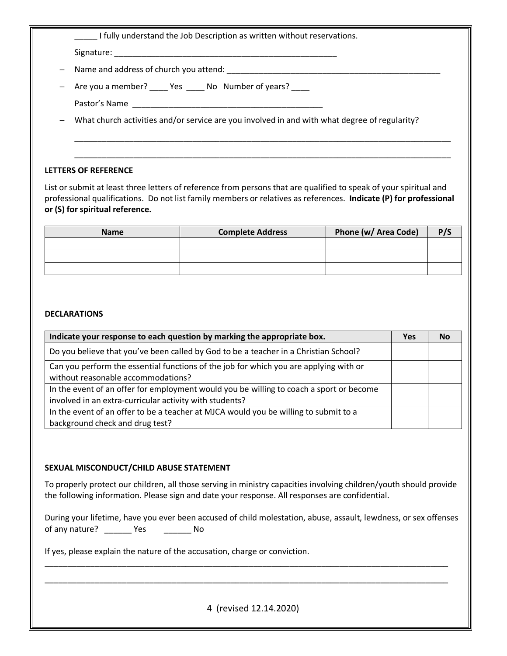\_\_\_\_\_ I fully understand the Job Description as written without reservations.

Signature: \_\_\_\_\_\_\_\_\_\_\_\_\_\_\_\_\_\_\_\_\_\_\_\_\_\_\_\_\_\_\_\_\_\_\_\_\_\_\_\_\_\_\_\_\_\_\_\_\_

- Name and address of church you attend:

- Are you a member? \_\_\_\_ Yes \_\_\_\_ No Number of years?

Pastor's Name

- What church activities and/or service are you involved in and with what degree of regularity?

#### **LETTERS OF REFERENCE**

List or submit at least three letters of reference from persons that are qualified to speak of your spiritual and professional qualifications. Do not list family members or relatives as references. **Indicate (P) for professional or (S) for spiritual reference.**

\_\_\_\_\_\_\_\_\_\_\_\_\_\_\_\_\_\_\_\_\_\_\_\_\_\_\_\_\_\_\_\_\_\_\_\_\_\_\_\_\_\_\_\_\_\_\_\_\_\_\_\_\_\_\_\_\_\_\_\_\_\_\_\_\_\_\_\_\_\_\_\_\_\_\_\_\_\_\_\_\_\_\_

\_\_\_\_\_\_\_\_\_\_\_\_\_\_\_\_\_\_\_\_\_\_\_\_\_\_\_\_\_\_\_\_\_\_\_\_\_\_\_\_\_\_\_\_\_\_\_\_\_\_\_\_\_\_\_\_\_\_\_\_\_\_\_\_\_\_\_\_\_\_\_\_\_\_\_\_\_\_\_\_\_\_\_

| <b>Name</b> | <b>Complete Address</b> | Phone (w/ Area Code) | P/S |
|-------------|-------------------------|----------------------|-----|
|             |                         |                      |     |
|             |                         |                      |     |
|             |                         |                      |     |

#### **DECLARATIONS**

| Indicate your response to each question by marking the appropriate box.                 | <b>Yes</b> | <b>No</b> |
|-----------------------------------------------------------------------------------------|------------|-----------|
| Do you believe that you've been called by God to be a teacher in a Christian School?    |            |           |
| Can you perform the essential functions of the job for which you are applying with or   |            |           |
| without reasonable accommodations?                                                      |            |           |
| In the event of an offer for employment would you be willing to coach a sport or become |            |           |
| involved in an extra-curricular activity with students?                                 |            |           |
| In the event of an offer to be a teacher at MJCA would you be willing to submit to a    |            |           |
| background check and drug test?                                                         |            |           |

#### **SEXUAL MISCONDUCT/CHILD ABUSE STATEMENT**

To properly protect our children, all those serving in ministry capacities involving children/youth should provide the following information. Please sign and date your response. All responses are confidential.

During your lifetime, have you ever been accused of child molestation, abuse, assault, lewdness, or sex offenses of any nature? \_\_\_\_\_\_\_\_ Yes \_\_\_\_\_\_\_\_\_\_ No

\_\_\_\_\_\_\_\_\_\_\_\_\_\_\_\_\_\_\_\_\_\_\_\_\_\_\_\_\_\_\_\_\_\_\_\_\_\_\_\_\_\_\_\_\_\_\_\_\_\_\_\_\_\_\_\_\_\_\_\_\_\_\_\_\_\_\_\_\_\_\_\_\_\_\_\_\_\_\_\_\_\_\_\_\_\_\_\_\_

\_\_\_\_\_\_\_\_\_\_\_\_\_\_\_\_\_\_\_\_\_\_\_\_\_\_\_\_\_\_\_\_\_\_\_\_\_\_\_\_\_\_\_\_\_\_\_\_\_\_\_\_\_\_\_\_\_\_\_\_\_\_\_\_\_\_\_\_\_\_\_\_\_\_\_\_\_\_\_\_\_\_\_\_\_\_\_\_\_

If yes, please explain the nature of the accusation, charge or conviction.

4 (revised 12.14.2020)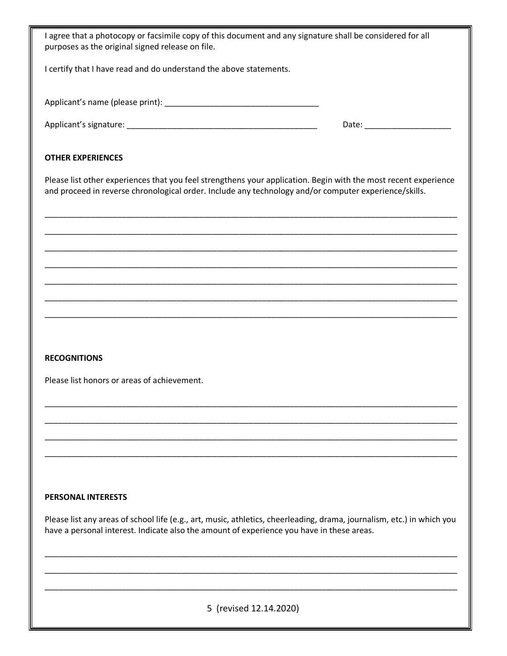| I agree that a photocopy or facsimile copy of this document and any signature shall be considered for all<br>purposes as the original signed release on file.                                                            |                               |
|--------------------------------------------------------------------------------------------------------------------------------------------------------------------------------------------------------------------------|-------------------------------|
| I certify that I have read and do understand the above statements.                                                                                                                                                       |                               |
|                                                                                                                                                                                                                          |                               |
|                                                                                                                                                                                                                          | Date: _______________________ |
| <b>OTHER EXPERIENCES</b>                                                                                                                                                                                                 |                               |
| Please list other experiences that you feel strengthens your application. Begin with the most recent experience<br>and proceed in reverse chronological order. Include any technology and/or computer experience/skills. |                               |
|                                                                                                                                                                                                                          |                               |
|                                                                                                                                                                                                                          |                               |
|                                                                                                                                                                                                                          |                               |
|                                                                                                                                                                                                                          |                               |
| <b>RECOGNITIONS</b>                                                                                                                                                                                                      |                               |
| Please list honors or areas of achievement.                                                                                                                                                                              |                               |
|                                                                                                                                                                                                                          |                               |
|                                                                                                                                                                                                                          |                               |
|                                                                                                                                                                                                                          |                               |
| <b>PERSONAL INTERESTS</b>                                                                                                                                                                                                |                               |
| Please list any areas of school life (e.g., art, music, athletics, cheerleading, drama, journalism, etc.) in which you<br>have a personal interest. Indicate also the amount of experience you have in these areas.      |                               |
|                                                                                                                                                                                                                          |                               |
| 5 (revised 12.14.2020)                                                                                                                                                                                                   |                               |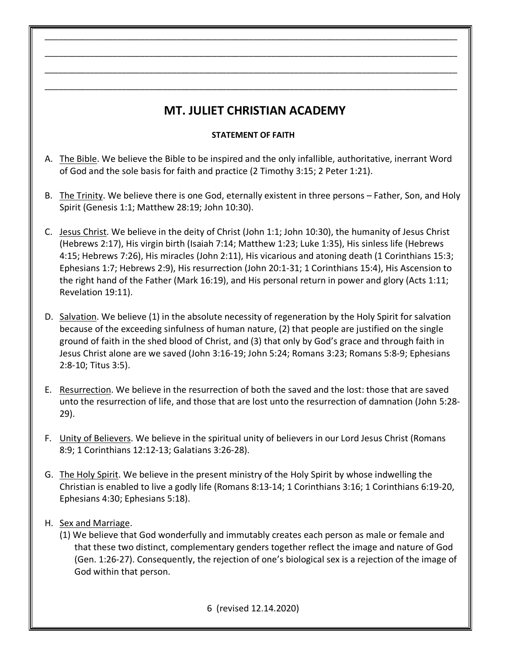# **MT. JULIET CHRISTIAN ACADEMY**

\_\_\_\_\_\_\_\_\_\_\_\_\_\_\_\_\_\_\_\_\_\_\_\_\_\_\_\_\_\_\_\_\_\_\_\_\_\_\_\_\_\_\_\_\_\_\_\_\_\_\_\_\_\_\_\_\_\_\_\_\_\_\_\_\_\_\_\_\_\_\_\_\_\_\_\_\_\_\_\_\_\_\_\_\_\_\_\_\_\_\_

\_\_\_\_\_\_\_\_\_\_\_\_\_\_\_\_\_\_\_\_\_\_\_\_\_\_\_\_\_\_\_\_\_\_\_\_\_\_\_\_\_\_\_\_\_\_\_\_\_\_\_\_\_\_\_\_\_\_\_\_\_\_\_\_\_\_\_\_\_\_\_\_\_\_\_\_\_\_\_\_\_\_\_\_\_\_\_\_\_\_\_

\_\_\_\_\_\_\_\_\_\_\_\_\_\_\_\_\_\_\_\_\_\_\_\_\_\_\_\_\_\_\_\_\_\_\_\_\_\_\_\_\_\_\_\_\_\_\_\_\_\_\_\_\_\_\_\_\_\_\_\_\_\_\_\_\_\_\_\_\_\_\_\_\_\_\_\_\_\_\_\_\_\_\_\_\_\_\_\_\_\_\_

\_\_\_\_\_\_\_\_\_\_\_\_\_\_\_\_\_\_\_\_\_\_\_\_\_\_\_\_\_\_\_\_\_\_\_\_\_\_\_\_\_\_\_\_\_\_\_\_\_\_\_\_\_\_\_\_\_\_\_\_\_\_\_\_\_\_\_\_\_\_\_\_\_\_\_\_\_\_\_\_\_\_\_\_\_\_\_\_\_\_\_

#### **STATEMENT OF FAITH**

- A. The Bible. We believe the Bible to be inspired and the only infallible, authoritative, inerrant Word of God and the sole basis for faith and practice (2 Timothy 3:15; 2 Peter 1:21).
- B. The Trinity. We believe there is one God, eternally existent in three persons Father, Son, and Holy Spirit (Genesis 1:1; Matthew 28:19; John 10:30).
- C. Jesus Christ. We believe in the deity of Christ (John 1:1; John 10:30), the humanity of Jesus Christ (Hebrews 2:17), His virgin birth (Isaiah 7:14; Matthew 1:23; Luke 1:35), His sinless life (Hebrews 4:15; Hebrews 7:26), His miracles (John 2:11), His vicarious and atoning death (1 Corinthians 15:3; Ephesians 1:7; Hebrews 2:9), His resurrection (John 20:1-31; 1 Corinthians 15:4), His Ascension to the right hand of the Father (Mark 16:19), and His personal return in power and glory (Acts 1:11; Revelation 19:11).
- D. Salvation. We believe (1) in the absolute necessity of regeneration by the Holy Spirit for salvation because of the exceeding sinfulness of human nature, (2) that people are justified on the single ground of faith in the shed blood of Christ, and (3) that only by God's grace and through faith in Jesus Christ alone are we saved (John 3:16-19; John 5:24; Romans 3:23; Romans 5:8-9; Ephesians 2:8-10; Titus 3:5).
- E. Resurrection. We believe in the resurrection of both the saved and the lost: those that are saved unto the resurrection of life, and those that are lost unto the resurrection of damnation (John 5:28- 29).
- F. Unity of Believers. We believe in the spiritual unity of believers in our Lord Jesus Christ (Romans 8:9; 1 Corinthians 12:12-13; Galatians 3:26-28).
- G. The Holy Spirit. We believe in the present ministry of the Holy Spirit by whose indwelling the Christian is enabled to live a godly life (Romans 8:13-14; 1 Corinthians 3:16; 1 Corinthians 6:19-20, Ephesians 4:30; Ephesians 5:18).
- H. Sex and Marriage.
	- (1) We believe that God wonderfully and immutably creates each person as male or female and that these two distinct, complementary genders together reflect the image and nature of God (Gen. 1:26-27). Consequently, the rejection of one's biological sex is a rejection of the image of God within that person.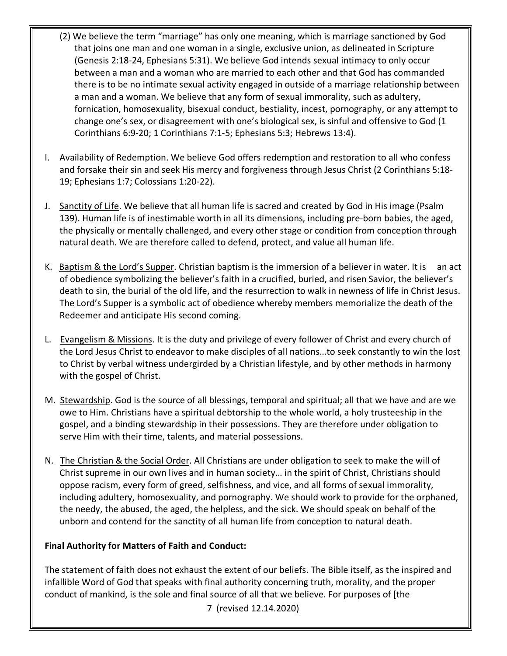- (2) We believe the term "marriage" has only one meaning, which is marriage sanctioned by God that joins one man and one woman in a single, exclusive union, as delineated in Scripture (Genesis 2:18-24, Ephesians 5:31). We believe God intends sexual intimacy to only occur between a man and a woman who are married to each other and that God has commanded there is to be no intimate sexual activity engaged in outside of a marriage relationship between a man and a woman. We believe that any form of sexual immorality, such as adultery, fornication, homosexuality, bisexual conduct, bestiality, incest, pornography, or any attempt to change one's sex, or disagreement with one's biological sex, is sinful and offensive to God (1 Corinthians 6:9-20; 1 Corinthians 7:1-5; Ephesians 5:3; Hebrews 13:4).
- I. Availability of Redemption. We believe God offers redemption and restoration to all who confess and forsake their sin and seek His mercy and forgiveness through Jesus Christ (2 Corinthians 5:18- 19; Ephesians 1:7; Colossians 1:20-22).
- J. Sanctity of Life. We believe that all human life is sacred and created by God in His image (Psalm 139). Human life is of inestimable worth in all its dimensions, including pre-born babies, the aged, the physically or mentally challenged, and every other stage or condition from conception through natural death. We are therefore called to defend, protect, and value all human life.
- K. Baptism & the Lord's Supper. Christian baptism is the immersion of a believer in water. It is an act of obedience symbolizing the believer's faith in a crucified, buried, and risen Savior, the believer's death to sin, the burial of the old life, and the resurrection to walk in newness of life in Christ Jesus. The Lord's Supper is a symbolic act of obedience whereby members memorialize the death of the Redeemer and anticipate His second coming.
- L. Evangelism & Missions. It is the duty and privilege of every follower of Christ and every church of the Lord Jesus Christ to endeavor to make disciples of all nations…to seek constantly to win the lost to Christ by verbal witness undergirded by a Christian lifestyle, and by other methods in harmony with the gospel of Christ.
- M. Stewardship. God is the source of all blessings, temporal and spiritual; all that we have and are we owe to Him. Christians have a spiritual debtorship to the whole world, a holy trusteeship in the gospel, and a binding stewardship in their possessions. They are therefore under obligation to serve Him with their time, talents, and material possessions.
- N. The Christian & the Social Order. All Christians are under obligation to seek to make the will of Christ supreme in our own lives and in human society… in the spirit of Christ, Christians should oppose racism, every form of greed, selfishness, and vice, and all forms of sexual immorality, including adultery, homosexuality, and pornography. We should work to provide for the orphaned, the needy, the abused, the aged, the helpless, and the sick. We should speak on behalf of the unborn and contend for the sanctity of all human life from conception to natural death.

# **Final Authority for Matters of Faith and Conduct:**

The statement of faith does not exhaust the extent of our beliefs. The Bible itself, as the inspired and infallible Word of God that speaks with final authority concerning truth, morality, and the proper conduct of mankind, is the sole and final source of all that we believe. For purposes of [the

7 (revised 12.14.2020)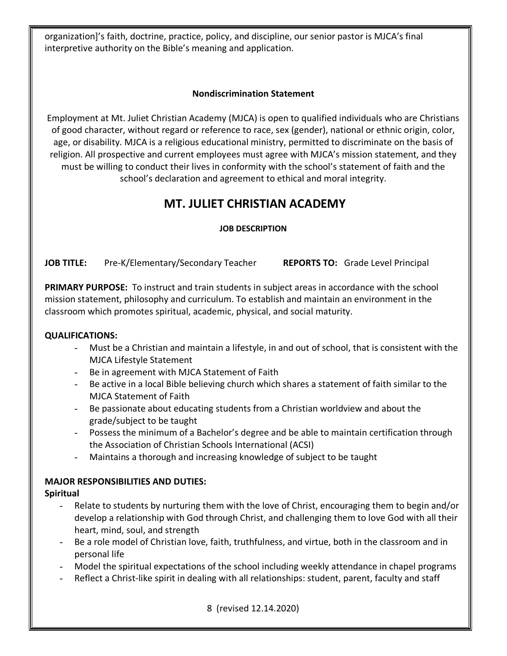organization]'s faith, doctrine, practice, policy, and discipline, our senior pastor is MJCA's final interpretive authority on the Bible's meaning and application.

## **Nondiscrimination Statement**

Employment at Mt. Juliet Christian Academy (MJCA) is open to qualified individuals who are Christians of good character, without regard or reference to race, sex (gender), national or ethnic origin, color, age, or disability. MJCA is a religious educational ministry, permitted to discriminate on the basis of religion. All prospective and current employees must agree with MJCA's mission statement, and they must be willing to conduct their lives in conformity with the school's statement of faith and the school's declaration and agreement to ethical and moral integrity.

# **MT. JULIET CHRISTIAN ACADEMY**

## **JOB DESCRIPTION**

**JOB TITLE:** Pre-K/Elementary/Secondary Teacher **REPORTS TO:** Grade Level Principal

**PRIMARY PURPOSE:** To instruct and train students in subject areas in accordance with the school mission statement, philosophy and curriculum. To establish and maintain an environment in the classroom which promotes spiritual, academic, physical, and social maturity.

## **QUALIFICATIONS:**

- Must be a Christian and maintain a lifestyle, in and out of school, that is consistent with the MJCA Lifestyle Statement
- Be in agreement with MJCA Statement of Faith
- Be active in a local Bible believing church which shares a statement of faith similar to the MJCA Statement of Faith
- Be passionate about educating students from a Christian worldview and about the grade/subject to be taught
- Possess the minimum of a Bachelor's degree and be able to maintain certification through the Association of Christian Schools International (ACSI)
- Maintains a thorough and increasing knowledge of subject to be taught

## **MAJOR RESPONSIBILITIES AND DUTIES:**

## **Spiritual**

- Relate to students by nurturing them with the love of Christ, encouraging them to begin and/or develop a relationship with God through Christ, and challenging them to love God with all their heart, mind, soul, and strength
- Be a role model of Christian love, faith, truthfulness, and virtue, both in the classroom and in personal life
- Model the spiritual expectations of the school including weekly attendance in chapel programs
- Reflect a Christ-like spirit in dealing with all relationships: student, parent, faculty and staff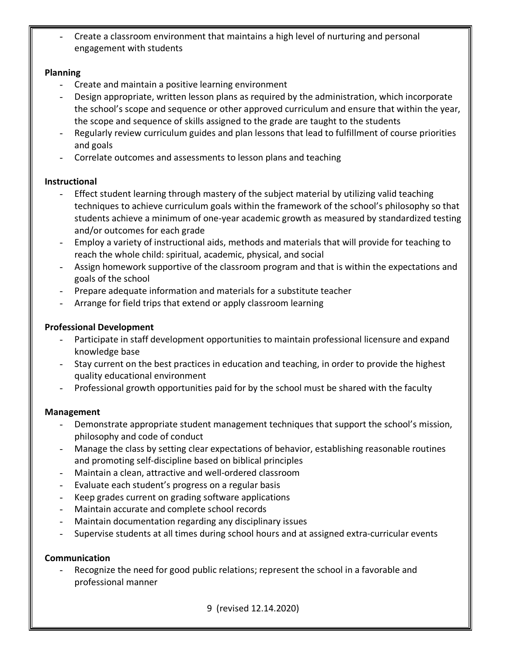Create a classroom environment that maintains a high level of nurturing and personal engagement with students

## **Planning**

- Create and maintain a positive learning environment
- Design appropriate, written lesson plans as required by the administration, which incorporate the school's scope and sequence or other approved curriculum and ensure that within the year, the scope and sequence of skills assigned to the grade are taught to the students
- Regularly review curriculum guides and plan lessons that lead to fulfillment of course priorities and goals
- Correlate outcomes and assessments to lesson plans and teaching

## **Instructional**

- Effect student learning through mastery of the subject material by utilizing valid teaching techniques to achieve curriculum goals within the framework of the school's philosophy so that students achieve a minimum of one-year academic growth as measured by standardized testing and/or outcomes for each grade
- Employ a variety of instructional aids, methods and materials that will provide for teaching to reach the whole child: spiritual, academic, physical, and social
- Assign homework supportive of the classroom program and that is within the expectations and goals of the school
- Prepare adequate information and materials for a substitute teacher
- Arrange for field trips that extend or apply classroom learning

## **Professional Development**

- Participate in staff development opportunities to maintain professional licensure and expand knowledge base
- Stay current on the best practices in education and teaching, in order to provide the highest quality educational environment
- Professional growth opportunities paid for by the school must be shared with the faculty

## **Management**

- Demonstrate appropriate student management techniques that support the school's mission, philosophy and code of conduct
- Manage the class by setting clear expectations of behavior, establishing reasonable routines and promoting self-discipline based on biblical principles
- Maintain a clean, attractive and well-ordered classroom
- Evaluate each student's progress on a regular basis
- Keep grades current on grading software applications
- Maintain accurate and complete school records
- Maintain documentation regarding any disciplinary issues
- Supervise students at all times during school hours and at assigned extra-curricular events

## **Communication**

- Recognize the need for good public relations; represent the school in a favorable and professional manner

9 (revised 12.14.2020)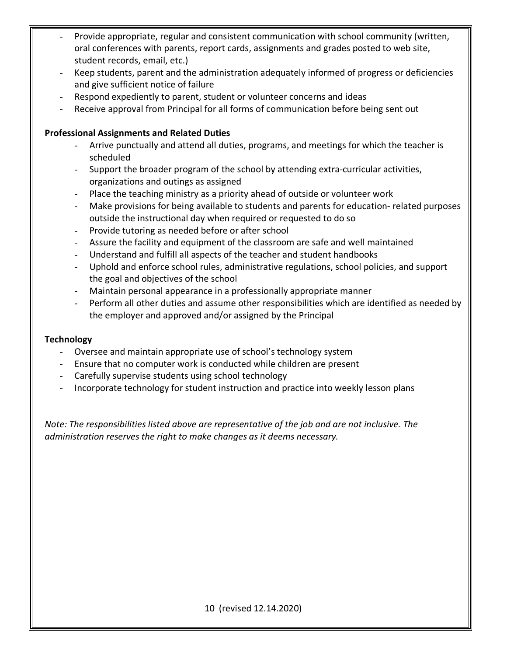- Provide appropriate, regular and consistent communication with school community (written, oral conferences with parents, report cards, assignments and grades posted to web site, student records, email, etc.)
- Keep students, parent and the administration adequately informed of progress or deficiencies and give sufficient notice of failure
- Respond expediently to parent, student or volunteer concerns and ideas
- Receive approval from Principal for all forms of communication before being sent out

# **Professional Assignments and Related Duties**

- Arrive punctually and attend all duties, programs, and meetings for which the teacher is scheduled
- Support the broader program of the school by attending extra-curricular activities, organizations and outings as assigned
- Place the teaching ministry as a priority ahead of outside or volunteer work
- Make provisions for being available to students and parents for education- related purposes outside the instructional day when required or requested to do so
- Provide tutoring as needed before or after school
- Assure the facility and equipment of the classroom are safe and well maintained
- Understand and fulfill all aspects of the teacher and student handbooks
- Uphold and enforce school rules, administrative regulations, school policies, and support the goal and objectives of the school
- Maintain personal appearance in a professionally appropriate manner
- Perform all other duties and assume other responsibilities which are identified as needed by the employer and approved and/or assigned by the Principal

# **Technology**

- Oversee and maintain appropriate use of school's technology system
- Ensure that no computer work is conducted while children are present
- Carefully supervise students using school technology
- Incorporate technology for student instruction and practice into weekly lesson plans

*Note: The responsibilities listed above are representative of the job and are not inclusive. The administration reserves the right to make changes as it deems necessary.*